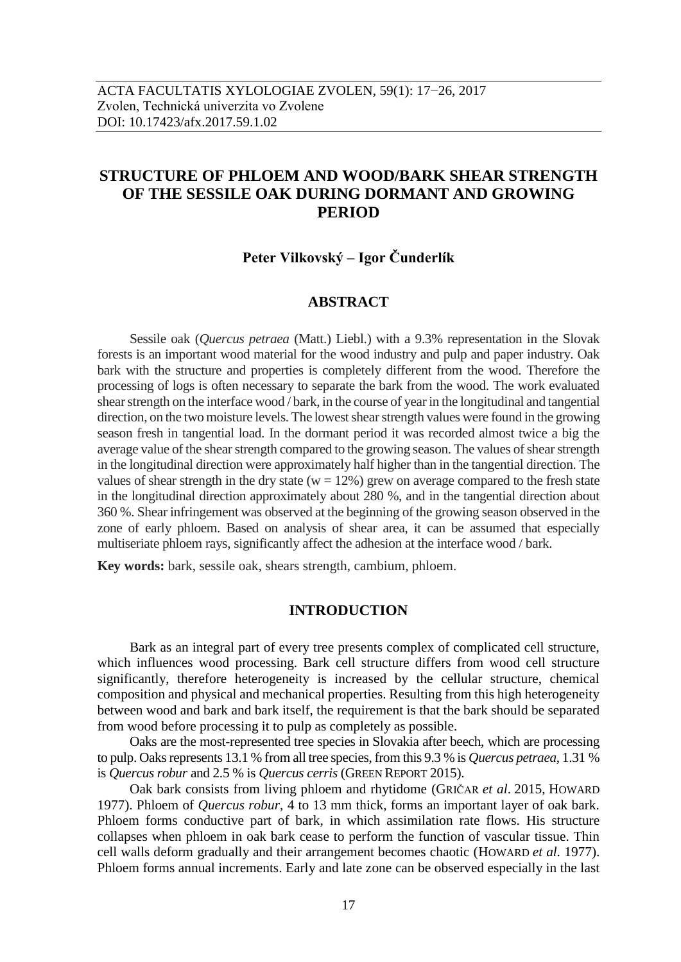# **STRUCTURE OF PHLOEM AND WOOD/BARK SHEAR STRENGTH OF THE SESSILE OAK DURING DORMANT AND GROWING PERIOD**

# **Peter Vilkovský – Igor Čunderlík**

## **ABSTRACT**

Sessile oak (*Quercus petraea* (Matt.) Liebl.) with a 9.3% representation in the Slovak forests is an important wood material for the wood industry and pulp and paper industry. Oak bark with the structure and properties is completely different from the wood. Therefore the processing of logs is often necessary to separate the bark from the wood. The work evaluated shear strength on the interface wood / bark, in the course of year in the longitudinal and tangential direction, on the two moisture levels. The lowest shear strength values were found in the growing season fresh in tangential load. In the dormant period it was recorded almost twice a big the average value of the shear strength compared to the growing season. The values of shear strength in the longitudinal direction were approximately half higher than in the tangential direction. The values of shear strength in the dry state ( $w = 12\%$ ) grew on average compared to the fresh state in the longitudinal direction approximately about 280 %, and in the tangential direction about 360 %. Shear infringement was observed at the beginning of the growing season observed in the zone of early phloem. Based on analysis of shear area, it can be assumed that especially multiseriate phloem rays, significantly affect the adhesion at the interface wood / bark.

**Key words:** bark, sessile oak, shears strength, cambium, phloem.

## **INTRODUCTION**

Bark as an integral part of every tree presents complex of complicated cell structure, which influences wood processing. Bark cell structure differs from wood cell structure significantly, therefore heterogeneity is increased by the cellular structure, chemical composition and physical and mechanical properties. Resulting from this high heterogeneity between wood and bark and bark itself, the requirement is that the bark should be separated from wood before processing it to pulp as completely as possible.

Oaks are the most-represented tree species in Slovakia after beech, which are processing to pulp. Oaks represents 13.1 % from all tree species, from this 9.3 % is *Quercus petraea*, 1.31 % is *Quercus robur* and 2.5 % is *Quercus cerris* (GREEN REPORT 2015).

Oak bark consists from living phloem and rhytidome (GRIČAR *et al*. 2015, HOWARD 1977). Phloem of *Quercus robur*, 4 to 13 mm thick, forms an important layer of oak bark. Phloem forms conductive part of bark, in which assimilation rate flows. His structure collapses when phloem in oak bark cease to perform the function of vascular tissue. Thin cell walls deform gradually and their arrangement becomes chaotic (HOWARD *et al.* 1977). Phloem forms annual increments. Early and late zone can be observed especially in the last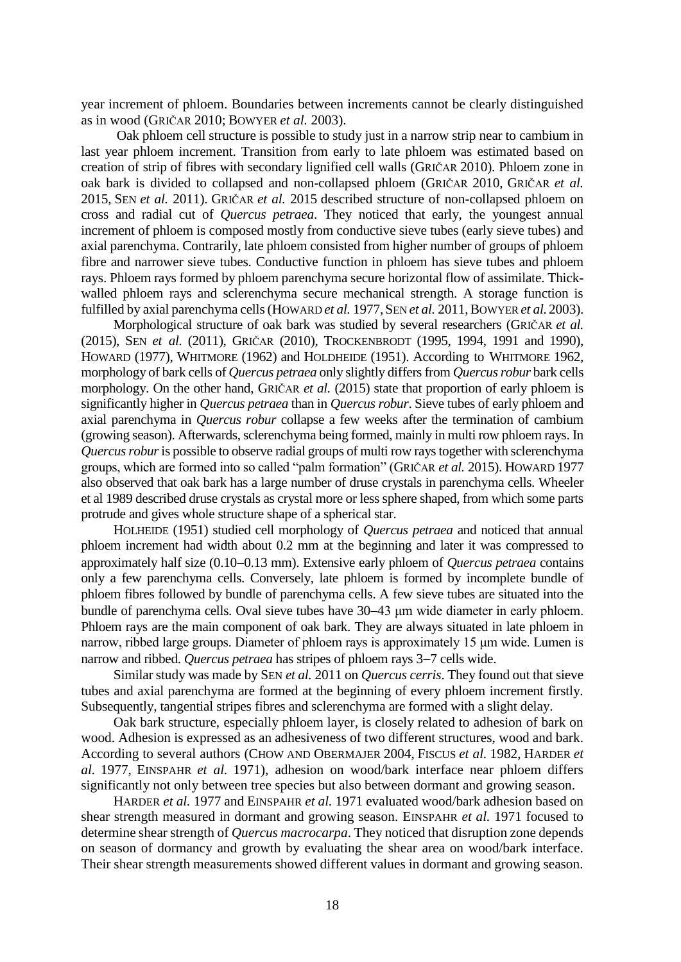year increment of phloem. Boundaries between increments cannot be clearly distinguished as in wood (GRIČAR 2010; BOWYER *et al.* 2003).

Oak phloem cell structure is possible to study just in a narrow strip near to cambium in last year phloem increment. Transition from early to late phloem was estimated based on creation of strip of fibres with secondary lignified cell walls (GRIČAR 2010). Phloem zone in oak bark is divided to collapsed and non-collapsed phloem (GRIČAR 2010, GRIČAR *et al.* 2015, SEN *et al.* 2011). GRIČAR *et al.* 2015 described structure of non-collapsed phloem on cross and radial cut of *Quercus petraea*. They noticed that early, the youngest annual increment of phloem is composed mostly from conductive sieve tubes (early sieve tubes) and axial parenchyma. Contrarily, late phloem consisted from higher number of groups of phloem fibre and narrower sieve tubes. Conductive function in phloem has sieve tubes and phloem rays. Phloem rays formed by phloem parenchyma secure horizontal flow of assimilate. Thickwalled phloem rays and sclerenchyma secure mechanical strength. A storage function is fulfilled by axial parenchyma cells (HOWARD *et al.* 1977, SEN *et al.* 2011,BOWYER *et al.* 2003).

Morphological structure of oak bark was studied by several researchers (GRIČAR *et al.* (2015), SEN *et al.* (2011), GRIČAR (2010), TROCKENBRODT (1995, 1994, 1991 and 1990), HOWARD (1977), WHITMORE (1962) and HOLDHEIDE (1951). According to WHITMORE 1962, morphology of bark cells of *Quercus petraea* only slightly differs from *Quercus robur* bark cells morphology. On the other hand, GRIČAR *et al.* (2015) state that proportion of early phloem is significantly higher in *Quercus petraea* than in *Quercus robur*. Sieve tubes of early phloem and axial parenchyma in *Quercus robur* collapse a few weeks after the termination of cambium (growing season). Afterwards, sclerenchyma being formed, mainly in multi row phloem rays. In *Quercus robur*is possible to observe radial groups of multi row rays together with sclerenchyma groups, which are formed into so called "palm formation" (GRIČAR *et al.* 2015). HOWARD 1977 also observed that oak bark has a large number of druse crystals in parenchyma cells. Wheeler et al 1989 described druse crystals as crystal more or less sphere shaped, from which some parts protrude and gives whole structure shape of a spherical star.

HOLHEIDE (1951) studied cell morphology of *Quercus petraea* and noticed that annual phloem increment had width about 0.2 mm at the beginning and later it was compressed to approximately half size (0.10–0.13 mm). Extensive early phloem of *Quercus petraea* contains only a few parenchyma cells. Conversely, late phloem is formed by incomplete bundle of phloem fibres followed by bundle of parenchyma cells. A few sieve tubes are situated into the bundle of parenchyma cells. Oval sieve tubes have 30–43 μm wide diameter in early phloem. Phloem rays are the main component of oak bark. They are always situated in late phloem in narrow, ribbed large groups. Diameter of phloem rays is approximately 15 μm wide. Lumen is narrow and ribbed. *Quercus petraea* has stripes of phloem rays 3–7 cells wide.

Similar study was made by SEN *et al.* 2011 on *Quercus cerris*. They found out that sieve tubes and axial parenchyma are formed at the beginning of every phloem increment firstly. Subsequently, tangential stripes fibres and sclerenchyma are formed with a slight delay.

Oak bark structure, especially phloem layer, is closely related to adhesion of bark on wood. Adhesion is expressed as an adhesiveness of two different structures, wood and bark. According to several authors (CHOW AND OBERMAJER 2004, FISCUS *et al.* 1982, HARDER *et al.* 1977, EINSPAHR *et al.* 1971), adhesion on wood/bark interface near phloem differs significantly not only between tree species but also between dormant and growing season.

HARDER *et al.* 1977 and EINSPAHR *et al.* 1971 evaluated wood/bark adhesion based on shear strength measured in dormant and growing season. EINSPAHR *et al.* 1971 focused to determine shear strength of *Quercus macrocarpa*. They noticed that disruption zone depends on season of dormancy and growth by evaluating the shear area on wood/bark interface. Their shear strength measurements showed different values in dormant and growing season.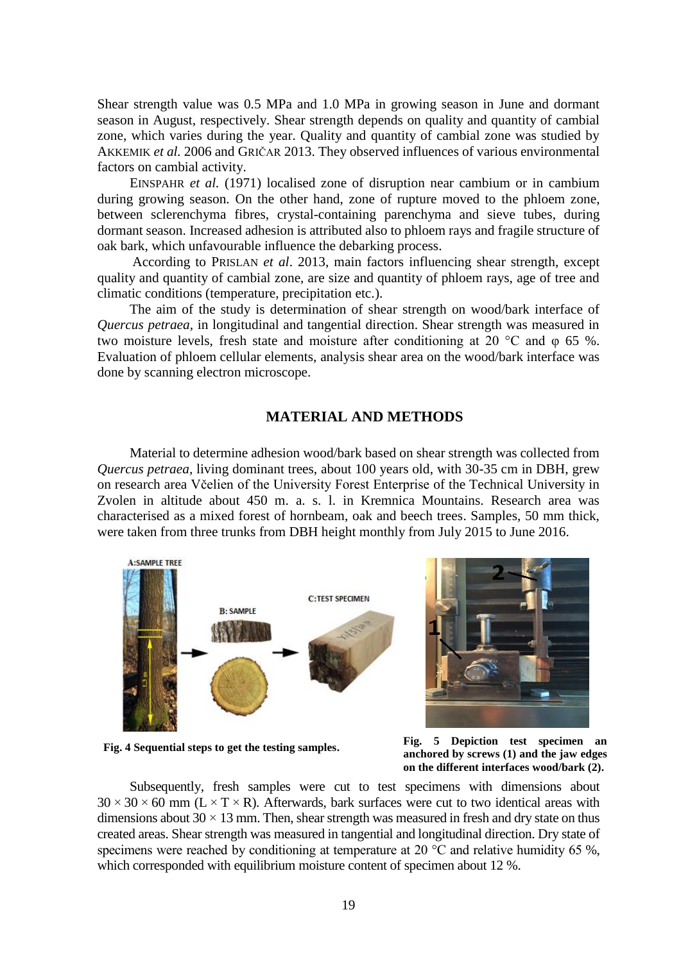Shear strength value was 0.5 MPa and 1.0 MPa in growing season in June and dormant season in August, respectively. Shear strength depends on quality and quantity of cambial zone, which varies during the year. Quality and quantity of cambial zone was studied by AKKEMIK *et al.* 2006 and GRIČAR 2013. They observed influences of various environmental factors on cambial activity.

EINSPAHR *et al.* (1971) localised zone of disruption near cambium or in cambium during growing season. On the other hand, zone of rupture moved to the phloem zone, between sclerenchyma fibres, crystal-containing parenchyma and sieve tubes, during dormant season. Increased adhesion is attributed also to phloem rays and fragile structure of oak bark, which unfavourable influence the debarking process.

According to PRISLAN *et al*. 2013, main factors influencing shear strength, except quality and quantity of cambial zone, are size and quantity of phloem rays, age of tree and climatic conditions (temperature, precipitation etc.).

The aim of the study is determination of shear strength on wood/bark interface of *Quercus petraea,* in longitudinal and tangential direction. Shear strength was measured in two moisture levels, fresh state and moisture after conditioning at 20 °C and φ 65 %. Evaluation of phloem cellular elements, analysis shear area on the wood/bark interface was done by scanning electron microscope.

## **MATERIAL AND METHODS**

Material to determine adhesion wood/bark based on shear strength was collected from *Quercus petraea,* living dominant trees, about 100 years old, with 30-35 cm in DBH, grew on research area Včelien of the University Forest Enterprise of the Technical University in Zvolen in altitude about 450 m. a. s. l. in Kremnica Mountains. Research area was characterised as a mixed forest of hornbeam, oak and beech trees. Samples, 50 mm thick, were taken from three trunks from DBH height monthly from July 2015 to June 2016.



**Fig. 4 Sequential steps to get the testing samples.**

**Fig. 5 Depiction test specimen an anchored by screws (1) and the jaw edges on the different interfaces wood/bark (2).**

Subsequently, fresh samples were cut to test specimens with dimensions about  $30 \times 30 \times 60$  mm (L  $\times$  T  $\times$  R). Afterwards, bark surfaces were cut to two identical areas with dimensions about  $30 \times 13$  mm. Then, shear strength was measured in fresh and dry state on thus created areas. Shear strength was measured in tangential and longitudinal direction. Dry state of specimens were reached by conditioning at temperature at 20  $^{\circ}$ C and relative humidity 65 %, which corresponded with equilibrium moisture content of specimen about 12 %.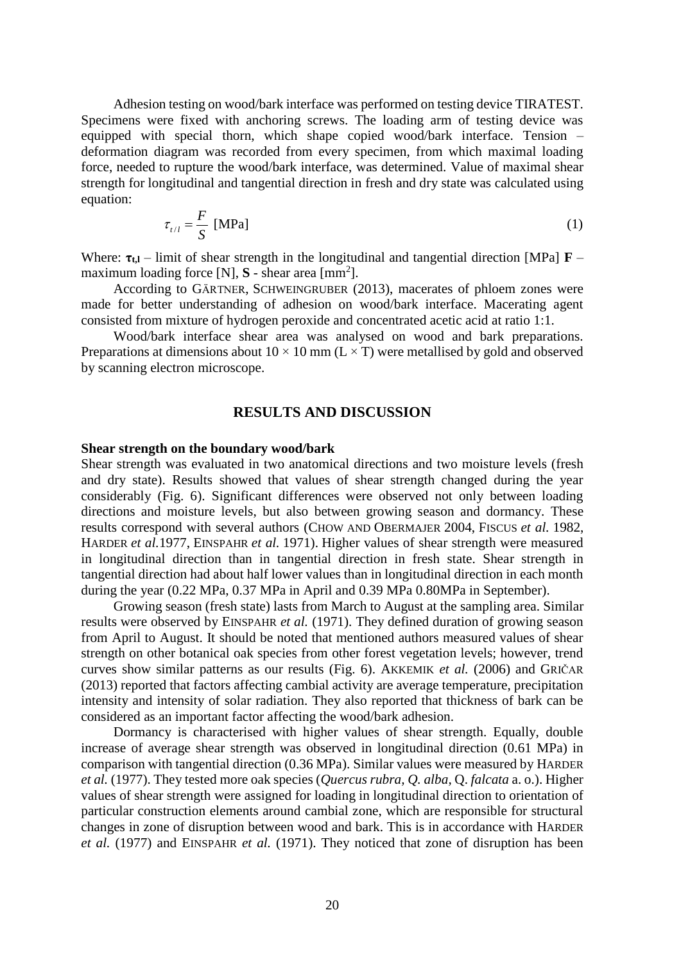Adhesion testing on wood/bark interface was performed on testing device TIRATEST. Specimens were fixed with anchoring screws. The loading arm of testing device was equipped with special thorn, which shape copied wood/bark interface. Tension – deformation diagram was recorded from every specimen, from which maximal loading force, needed to rupture the wood/bark interface, was determined. Value of maximal shear strength for longitudinal and tangential direction in fresh and dry state was calculated using equation:

$$
\tau_{t/l} = \frac{F}{S} \text{ [MPa]} \tag{1}
$$

Where:  $\tau_{t,l}$  – limit of shear strength in the longitudinal and tangential direction [MPa]  $\mathbf{F}$  – maximum loading force  $[N]$ ,  $S$  - shear area  $[mm^2]$ .

According to GÄRTNER, SCHWEINGRUBER (2013), macerates of phloem zones were made for better understanding of adhesion on wood/bark interface. Macerating agent consisted from mixture of hydrogen peroxide and concentrated acetic acid at ratio 1:1.

Wood/bark interface shear area was analysed on wood and bark preparations. Preparations at dimensions about  $10 \times 10$  mm ( $L \times T$ ) were metallised by gold and observed by scanning electron microscope.

## **RESULTS AND DISCUSSION**

#### **Shear strength on the boundary wood/bark**

Shear strength was evaluated in two anatomical directions and two moisture levels (fresh and dry state). Results showed that values of shear strength changed during the year considerably (Fig. 6). Significant differences were observed not only between loading directions and moisture levels, but also between growing season and dormancy. These results correspond with several authors (CHOW AND OBERMAJER 2004, FISCUS *et al.* 1982, HARDER *et al.*1977, EINSPAHR *et al.* 1971). Higher values of shear strength were measured in longitudinal direction than in tangential direction in fresh state. Shear strength in tangential direction had about half lower values than in longitudinal direction in each month during the year (0.22 MPa, 0.37 MPa in April and 0.39 MPa 0.80MPa in September).

Growing season (fresh state) lasts from March to August at the sampling area. Similar results were observed by EINSPAHR *et al.* (1971). They defined duration of growing season from April to August. It should be noted that mentioned authors measured values of shear strength on other botanical oak species from other forest vegetation levels; however, trend curves show similar patterns as our results (Fig. 6). AKKEMIK *et al.* (2006) and GRIČAR (2013) reported that factors affecting cambial activity are average temperature, precipitation intensity and intensity of solar radiation. They also reported that thickness of bark can be considered as an important factor affecting the wood/bark adhesion.

Dormancy is characterised with higher values of shear strength. Equally, double increase of average shear strength was observed in longitudinal direction (0.61 MPa) in comparison with tangential direction (0.36 MPa). Similar values were measured by HARDER *et al.* (1977). They tested more oak species (*Quercus rubra, Q. alba,* Q. *falcata* a. o.). Higher values of shear strength were assigned for loading in longitudinal direction to orientation of particular construction elements around cambial zone, which are responsible for structural changes in zone of disruption between wood and bark. This is in accordance with HARDER *et al.* (1977) and EINSPAHR *et al.* (1971). They noticed that zone of disruption has been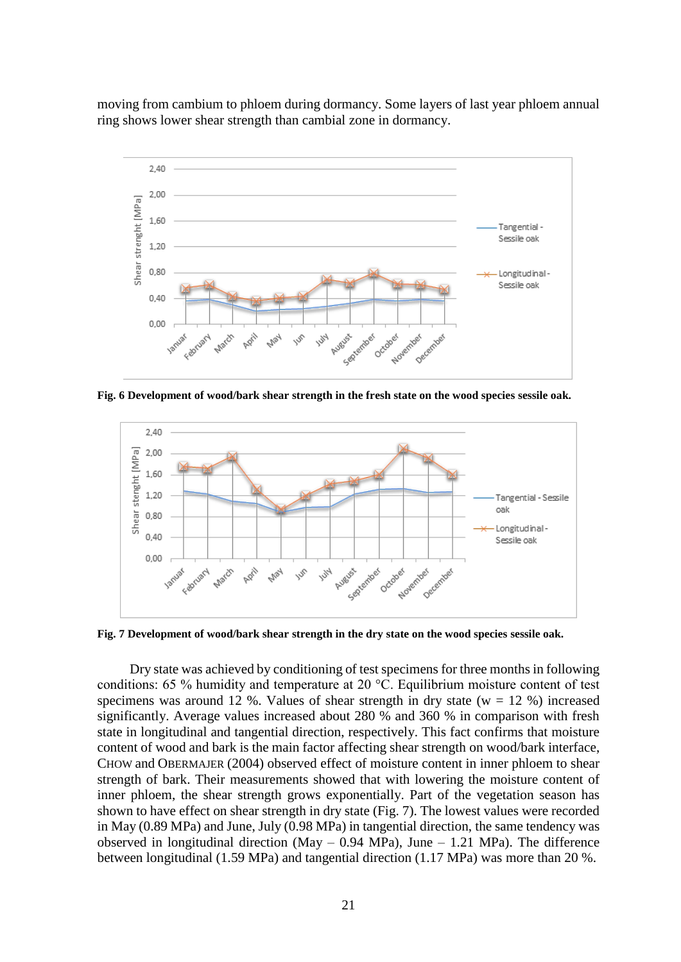moving from cambium to phloem during dormancy. Some layers of last year phloem annual ring shows lower shear strength than cambial zone in dormancy.



**Fig. 6 Development of wood/bark shear strength in the fresh state on the wood species sessile oak.**



**Fig. 7 Development of wood/bark shear strength in the dry state on the wood species sessile oak.**

Dry state was achieved by conditioning of test specimens for three months in following conditions: 65 % humidity and temperature at 20 °C. Equilibrium moisture content of test specimens was around 12 %. Values of shear strength in dry state ( $w = 12$  %) increased significantly. Average values increased about 280 % and 360 % in comparison with fresh state in longitudinal and tangential direction, respectively. This fact confirms that moisture content of wood and bark is the main factor affecting shear strength on wood/bark interface, CHOW and OBERMAJER (2004) observed effect of moisture content in inner phloem to shear strength of bark. Their measurements showed that with lowering the moisture content of inner phloem, the shear strength grows exponentially. Part of the vegetation season has shown to have effect on shear strength in dry state (Fig. 7). The lowest values were recorded in May (0.89 MPa) and June, July (0.98 MPa) in tangential direction, the same tendency was observed in longitudinal direction (May  $-$  0.94 MPa), June  $-$  1.21 MPa). The difference between longitudinal (1.59 MPa) and tangential direction (1.17 MPa) was more than 20 %.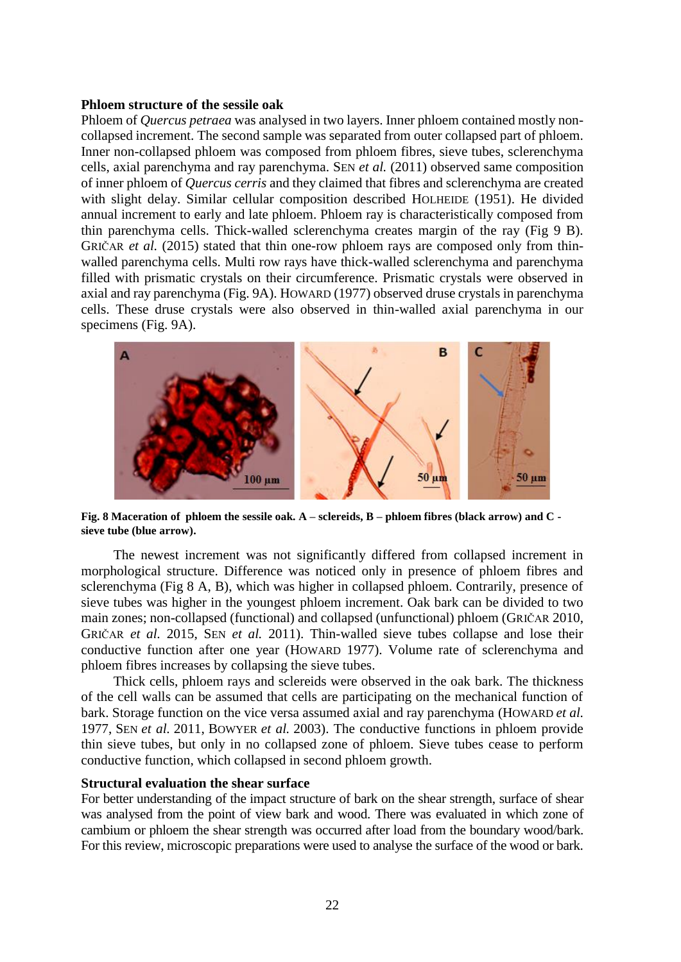### **Phloem structure of the sessile oak**

Phloem of *Quercus petraea* was analysed in two layers. Inner phloem contained mostly noncollapsed increment. The second sample was separated from outer collapsed part of phloem. Inner non-collapsed phloem was composed from phloem fibres, sieve tubes, sclerenchyma cells, axial parenchyma and ray parenchyma. SEN *et al.* (2011) observed same composition of inner phloem of *Quercus cerris* and they claimed that fibres and sclerenchyma are created with slight delay. Similar cellular composition described HOLHEIDE (1951). He divided annual increment to early and late phloem. Phloem ray is characteristically composed from thin parenchyma cells. Thick-walled sclerenchyma creates margin of the ray (Fig 9 B). GRIČAR *et al.* (2015) stated that thin one-row phloem rays are composed only from thinwalled parenchyma cells. Multi row rays have thick-walled sclerenchyma and parenchyma filled with prismatic crystals on their circumference. Prismatic crystals were observed in axial and ray parenchyma (Fig. 9A). HOWARD (1977) observed druse crystals in parenchyma cells. These druse crystals were also observed in thin-walled axial parenchyma in our specimens (Fig. 9A).



**Fig. 8 Maceration of phloem the sessile oak. A – sclereids, B – phloem fibres (black arrow) and C sieve tube (blue arrow).**

The newest increment was not significantly differed from collapsed increment in morphological structure. Difference was noticed only in presence of phloem fibres and sclerenchyma (Fig 8 A, B), which was higher in collapsed phloem. Contrarily, presence of sieve tubes was higher in the youngest phloem increment. Oak bark can be divided to two main zones; non-collapsed (functional) and collapsed (unfunctional) phloem (GRIČAR 2010, GRIČAR *et al.* 2015, SEN *et al.* 2011). Thin-walled sieve tubes collapse and lose their conductive function after one year (HOWARD 1977). Volume rate of sclerenchyma and phloem fibres increases by collapsing the sieve tubes.

Thick cells, phloem rays and sclereids were observed in the oak bark. The thickness of the cell walls can be assumed that cells are participating on the mechanical function of bark. Storage function on the vice versa assumed axial and ray parenchyma (HOWARD *et al.* 1977, SEN *et al.* 2011, BOWYER *et al.* 2003). The conductive functions in phloem provide thin sieve tubes, but only in no collapsed zone of phloem. Sieve tubes cease to perform conductive function, which collapsed in second phloem growth.

#### **Structural evaluation the shear surface**

For better understanding of the impact structure of bark on the shear strength, surface of shear was analysed from the point of view bark and wood. There was evaluated in which zone of cambium or phloem the shear strength was occurred after load from the boundary wood/bark. For this review, microscopic preparations were used to analyse the surface of the wood or bark.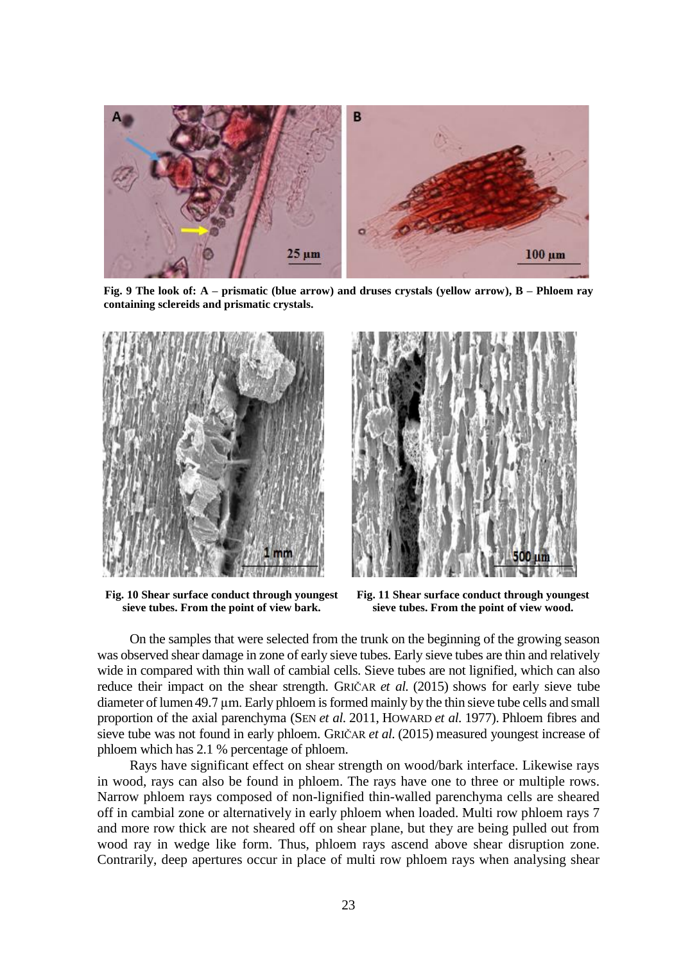

**Fig. 9 The look of: A – prismatic (blue arrow) and druses crystals (yellow arrow), B – Phloem ray containing sclereids and prismatic crystals.** 



**Fig. 10 Shear surface conduct through youngest sieve tubes. From the point of view bark.**



**Fig. 11 Shear surface conduct through youngest sieve tubes. From the point of view wood.**

On the samples that were selected from the trunk on the beginning of the growing season was observed shear damage in zone of early sieve tubes. Early sieve tubes are thin and relatively wide in compared with thin wall of cambial cells. Sieve tubes are not lignified, which can also reduce their impact on the shear strength. GRIČAR *et al.* (2015) shows for early sieve tube diameter of lumen 49.7 µm. Early phloem is formed mainly by the thin sieve tube cells and small proportion of the axial parenchyma (SEN *et al.* 2011, HOWARD *et al.* 1977). Phloem fibres and sieve tube was not found in early phloem. GRIČAR *et al.* (2015) measured youngest increase of phloem which has 2.1 % percentage of phloem.

Rays have significant effect on shear strength on wood/bark interface. Likewise rays in wood, rays can also be found in phloem. The rays have one to three or multiple rows. Narrow phloem rays composed of non-lignified thin-walled parenchyma cells are sheared off in cambial zone or alternatively in early phloem when loaded. Multi row phloem rays 7 and more row thick are not sheared off on shear plane, but they are being pulled out from wood ray in wedge like form. Thus, phloem rays ascend above shear disruption zone. Contrarily, deep apertures occur in place of multi row phloem rays when analysing shear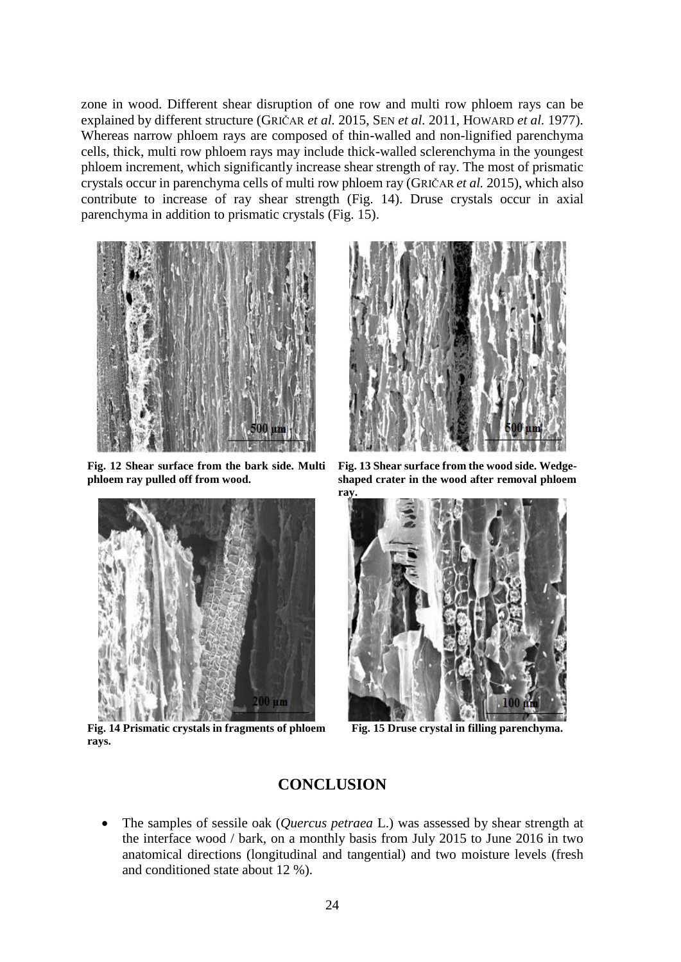zone in wood. Different shear disruption of one row and multi row phloem rays can be explained by different structure (GRIČAR *et al.* 2015, SEN *et al.* 2011, HOWARD *et al.* 1977). Whereas narrow phloem rays are composed of thin-walled and non-lignified parenchyma cells, thick, multi row phloem rays may include thick-walled sclerenchyma in the youngest phloem increment, which significantly increase shear strength of ray. The most of prismatic crystals occur in parenchyma cells of multi row phloem ray (GRIČAR *et al.* 2015), which also contribute to increase of ray shear strength (Fig. 14). Druse crystals occur in axial parenchyma in addition to prismatic crystals (Fig. 15).



**Fig. 12 Shear surface from the bark side. Multi phloem ray pulled off from wood.**



**Fig. 14 Prismatic crystals in fragments of phloem rays.**



**Fig. 13 Shear surface from the wood side. Wedgeshaped crater in the wood after removal phloem ray.**



**Fig. 15 Druse crystal in filling parenchyma.**

# **CONCLUSION**

 The samples of sessile oak (*Quercus petraea* L.) was assessed by shear strength at the interface wood / bark, on a monthly basis from July 2015 to June 2016 in two anatomical directions (longitudinal and tangential) and two moisture levels (fresh and conditioned state about 12 %).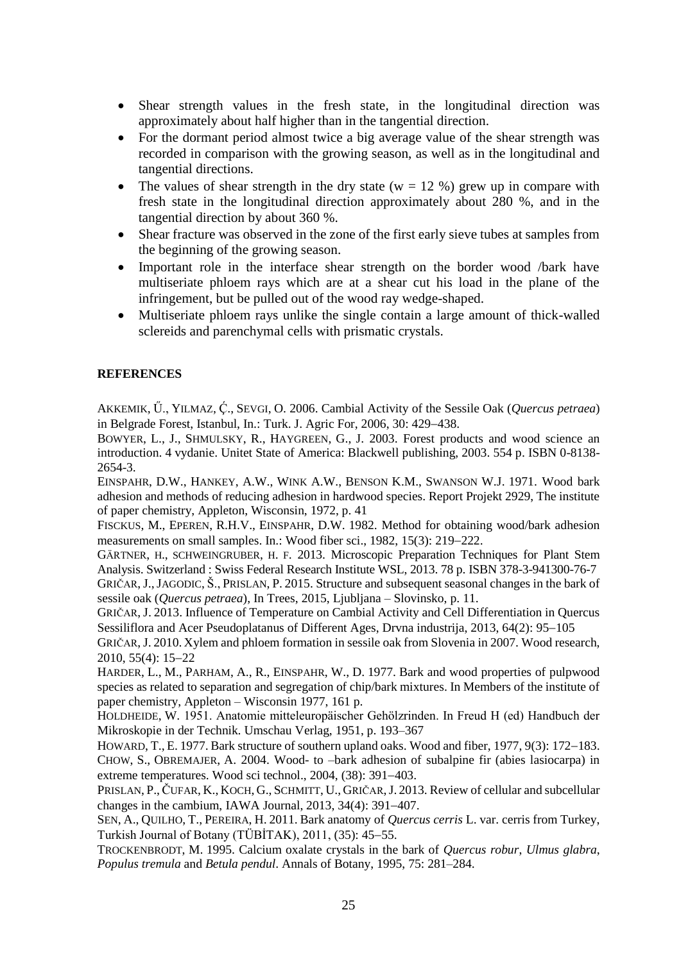- Shear strength values in the fresh state, in the longitudinal direction was approximately about half higher than in the tangential direction.
- For the dormant period almost twice a big average value of the shear strength was recorded in comparison with the growing season, as well as in the longitudinal and tangential directions.
- The values of shear strength in the dry state ( $w = 12$  %) grew up in compare with fresh state in the longitudinal direction approximately about 280 %, and in the tangential direction by about 360 %.
- Shear fracture was observed in the zone of the first early sieve tubes at samples from the beginning of the growing season.
- Important role in the interface shear strength on the border wood /bark have multiseriate phloem rays which are at a shear cut his load in the plane of the infringement, but be pulled out of the wood ray wedge-shaped.
- Multiseriate phloem rays unlike the single contain a large amount of thick-walled sclereids and parenchymal cells with prismatic crystals.

## **REFERENCES**

AKKEMIK, Ü., YILMAZ, Ç., SEVGI, O. 2006. Cambial Activity of the Sessile Oak (*Quercus petraea*) in Belgrade Forest, Istanbul, In.: Turk. J. Agric For,  $2006$ ,  $30: 429-438$ .

BOWYER, L., J., SHMULSKY, R., HAYGREEN, G., J. 2003. Forest products and wood science an introduction. 4 vydanie. Unitet State of America: Blackwell publishing, 2003. 554 p. ISBN 0-8138- 2654-3.

EINSPAHR, D.W., HANKEY, A.W., WINK A.W., BENSON K.M., SWANSON W.J. 1971. Wood bark adhesion and methods of reducing adhesion in hardwood species. Report Projekt 2929, The institute of paper chemistry, Appleton, Wisconsin, 1972, p. 41

FISCKUS, M., EPEREN, R.H.V., EINSPAHR, D.W. 1982. Method for obtaining wood/bark adhesion measurements on small samples. In.: Wood fiber sci., 1982, 15(3): 219–222.

GÄRTNER, H., SCHWEINGRUBER, H. F. 2013. Microscopic Preparation Techniques for Plant Stem Analysis. Switzerland : Swiss Federal Research Institute WSL, 2013. 78 p. ISBN 378-3-941300-76-7

GRIČAR,J.,JAGODIC, Š., PRISLAN, P. 2015. Structure and subsequent seasonal changes in the bark of sessile oak (*Quercus petraea*), In Trees, 2015, Ljubljana – Slovinsko, p. 11.

GRIČAR, J. 2013. Influence of Temperature on Cambial Activity and Cell Differentiation in Quercus Sessiliflora and Acer Pseudoplatanus of Different Ages, Drvna industrija, 2013, 64(2): 95–105

GRIČAR,J. 2010. Xylem and phloem formation in sessile oak from Slovenia in 2007. Wood research,  $2010, 55(4): 15-22$ 

HARDER, L., M., PARHAM, A., R., EINSPAHR, W., D. 1977. Bark and wood properties of pulpwood species as related to separation and segregation of chip/bark mixtures. In Members of the institute of paper chemistry, Appleton – Wisconsin 1977, 161 p.

HOLDHEIDE, W. 1951. Anatomie mitteleuropäischer Gehölzrinden. In Freud H (ed) Handbuch der Mikroskopie in der Technik. Umschau Verlag, 1951, p. 193–367

HOWARD, T., E. 1977. Bark structure of southern upland oaks. Wood and fiber, 1977, 9(3): 172–183. CHOW, S., OBREMAJER, A. 2004. Wood- to –bark adhesion of subalpine fir (abies lasiocarpa) in extreme temperatures. Wood sci technol.,  $2004$ ,  $(38)$ :  $391-403$ .

PRISLAN, P., ČUFAR, K., KOCH, G., SCHMITT, U., GRIČAR, J. 2013. Review of cellular and subcellular changes in the cambium, IAWA Journal,  $2013$ ,  $34(4)$ :  $391-407$ .

SEN, A., QUILHO, T., PEREIRA, H. 2011. Bark anatomy of *Quercus cerris* L. var. cerris from Turkey, Turkish Journal of Botany (TÜBİTAK),  $2011$ ,  $(35)$ : 45–55.

TROCKENBRODT, M. 1995. Calcium oxalate crystals in the bark of *Quercus robur*, *Ulmus glabra*, *Populus tremula* and *Betula pendul*. Annals of Botany, 1995, 75: 281–284.